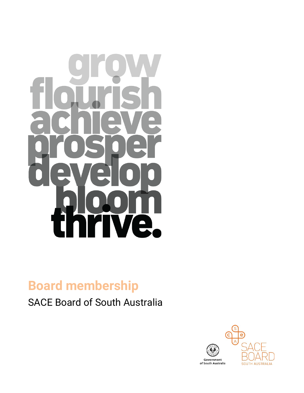

# **Board membership**

SACE Board of South Australia

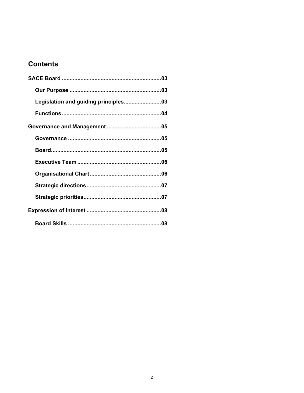# **Contents**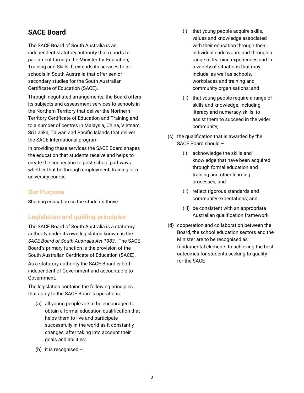# **SACE Board**

The SACE Board of South Australia is an independent statutory authority that reports to parliament through the Minister for Education, Training and Skills. It extends its services to all schools in South Australia that offer senior secondary studies for the South Australian Certificate of Education (SACE).

Through negotiated arrangements, the Board offers its subjects and assessment services to schools in the Northern Territory that deliver the Northern Territory Certificate of Education and Training and to a number of centres in Malaysia, China, Vietnam, Sri Lanka, Taiwan and Pacific Islands that deliver the SACE International program.

In providing these services the SACE Board shapes the education that students receive and helps to create the connection to post school pathways whether that be through employment, training or a university course.

#### **Our Purpose**

Shaping education so the students thrive.

# **Legislation and guiding principles**

The SACE Board of South Australia is a statutory authority under its own legislation known as the *SACE Board of South Australia Act 1983*. The SACE Board's primary function is the provision of the South Australian Certificate of Education (SACE).

As a statutory authority the SACE Board is both independent of Government and accountable to Government.

The legislation contains the following principles that apply to the SACE Board's operations:

- (a) all young people are to be encouraged to obtain a formal education qualification that helps them to live and participate successfully in the world as it constantly changes, after taking into account their goals and abilities;
- (b) it is recognised  $-$
- (i) that young people acquire skills, values and knowledge associated with their education through their individual endeavours and through a range of learning experiences and in a variety of situations that may include, as well as schools, workplaces and training and community organisations; and
- (ii) that young people require a range of skills and knowledge, including literacy and numeracy skills, to assist them to succeed in the wider community;
- (c) the qualification that is awarded by the SACE Board should –
	- (i) acknowledge the skills and knowledge that have been acquired through formal education and training and other learning processes; and
	- (ii) reflect rigorous standards and community expectations; and
	- (iii) be consistent with an appropriate Australian qualification framework;
- (d) cooperation and collaboration between the Board, the school education sectors and the Minister are to be recognised as fundamental elements to achieving the best outcomes for students seeking to qualify for the SACE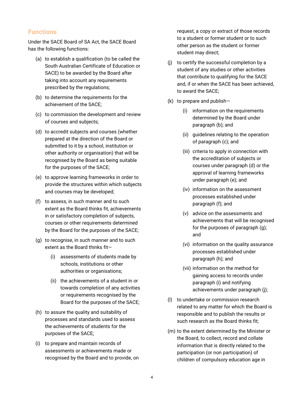#### **Functions**

Under the SACE Board of SA Act, the SACE Board has the following functions:

- (a) to establish a qualification (to be called the South Australian Certificate of Education or SACE) to be awarded by the Board after taking into account any requirements prescribed by the regulations;
- (b) to determine the requirements for the achievement of the SACE;
- (c) to commission the development and review of courses and subjects;
- (d) to accredit subjects and courses (whether prepared at the direction of the Board or submitted to it by a school, institution or other authority or organisation) that will be recognised by the Board as being suitable for the purposes of the SACE;
- (e) to approve learning frameworks in order to provide the structures within which subjects and courses may be developed;
- (f) to assess, in such manner and to such extent as the Board thinks fit, achievements in or satisfactory completion of subjects, courses or other requirements determined by the Board for the purposes of the SACE;
- (g) to recognise, in such manner and to such extent as the Board thinks fit—
	- (i) assessments of students made by schools, institutions or other authorities or organisations;
	- (ii) the achievements of a student in or towards completion of any activities or requirements recognised by the Board for the purposes of the SACE;
- (h) to assure the quality and suitability of processes and standards used to assess the achievements of students for the purposes of the SACE;
- (i) to prepare and maintain records of assessments or achievements made or recognised by the Board and to provide, on

request, a copy or extract of those records to a student or former student or to such other person as the student or former student may direct;

- (j) to certify the successful completion by a student of any studies or other activities that contribute to qualifying for the SACE and, if or when the SACE has been achieved, to award the SACE;
- (k) to prepare and publish—
	- (i) information on the requirements determined by the Board under paragraph (b); and
	- (ii) guidelines relating to the operation of paragraph (c); and
	- (iii) criteria to apply in connection with the accreditation of subjects or courses under paragraph (d) or the approval of learning frameworks under paragraph (e); and
	- (iv) information on the assessment processes established under paragraph (f); and
	- (v) advice on the assessments and achievements that will be recognised for the purposes of paragraph (g); and
	- (vi) information on the quality assurance processes established under paragraph (h); and
	- (vii) information on the method for gaining access to records under paragraph (i) and notifying achievements under paragraph (j);
- (l) to undertake or commission research related to any matter for which the Board is responsible and to publish the results or such research as the Board thinks fit;
- (m) to the extent determined by the Minister or the Board, to collect, record and collate information that is directly related to the participation (or non participation) of children of compulsory education age in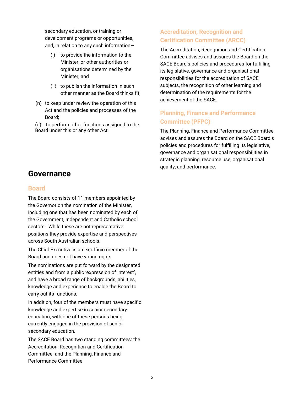secondary education, or training or development programs or opportunities, and, in relation to any such information—

- (i) to provide the information to the Minister, or other authorities or organisations determined by the Minister; and
- (ii) to publish the information in such other manner as the Board thinks fit;
- (n) to keep under review the operation of this Act and the policies and processes of the Board;
- (o) to perform other functions assigned to the Board under this or any other Act.

# **Governance**

#### **Board**

The Board consists of 11 members appointed by the Governor on the nomination of the Minister, including one that has been nominated by each of the Government, Independent and Catholic school sectors. While these are not representative positions they provide expertise and perspectives across South Australian schools.

The Chief Executive is an ex officio member of the Board and does not have voting rights.

The nominations are put forward by the designated entities and from a public 'expression of interest', and have a broad range of backgrounds, abilities, knowledge and experience to enable the Board to carry out its functions.

In addition, four of the members must have specific knowledge and expertise in senior secondary education, with one of these persons being currently engaged in the provision of senior secondary education.

The SACE Board has two standing committees: the Accreditation, Recognition and Certification Committee; and the Planning, Finance and Performance Committee.

# **Accreditation, Recognition and Certification Committee (ARCC)**

The Accreditation, Recognition and Certification Committee advises and assures the Board on the SACE Board's policies and procedures for fulfilling its legislative, governance and organisational responsibilities for the accreditation of SACE subjects, the recognition of other learning and determination of the requirements for the achievement of the SACE.

# **Planning, Finance and Performance Committee (PFPC)**

The Planning, Finance and Performance Committee advises and assures the Board on the SACE Board's policies and procedures for fulfilling its legislative, governance and organisational responsibilities in strategic planning, resource use, organisational quality, and performance.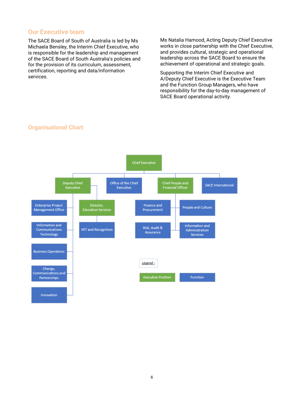#### **Our Executive team**

The SACE Board of South of Australia is led by Ms Michaela Bensley, the Interim Chief Executive, who is responsible for the leadership and management of the SACE Board of South Australia's policies and for the provision of its curriculum, assessment, certification, reporting and data/information services.

Ms Natalia Hamood, Acting Deputy Chief Executive works in close partnership with the Chief Executive, and provides cultural, strategic and operational leadership across the SACE Board to ensure the achievement of operational and strategic goals.

Supporting the Interim Chief Executive and A/Deputy Chief Executive is the Executive Team and the Function Group Managers, who have responsibility for the day-to-day management of SACE Board operational activity.



#### **Organisational Chart**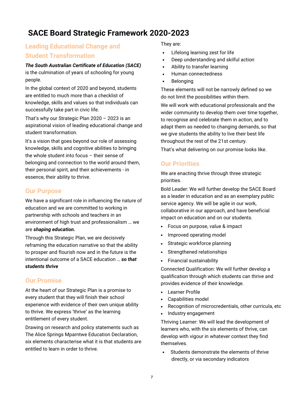# **SACE Board Strategic Framework 2020-2023**

# **Leading Educational Change and Student Transformation**

#### *The South Australian Certificate of Education (SACE)*

is the culmination of years of schooling for young people.

In the global context of 2020 and beyond, students are entitled to much more than a checklist of knowledge, skills and values so that individuals can successfully take part in civic life.

That's why our Strategic Plan 2020 – 2023 is an aspirational vision of leading educational change and student transformation.

It's a vision that goes beyond our role of assessing knowledge, skills and cognitive abilities to bringing the whole student into focus – their sense of belonging and connection to the world around them, their personal spirit, and their achievements - in essence, their ability to thrive.

#### **Our Purpose**

We have a significant role in influencing the nature of education and we are committed to working in partnership with schools and teachers in an environment of high trust and professionalism … we are *shaping education.* 

Through this Strategic Plan, we are decisively reframing the education narrative so that the ability to prosper and flourish now and in the future is the intentional outcome of a SACE education … *so that students thrive*

# **Our Promise**

At the heart of our Strategic Plan is a promise to every student that they will finish their school experience with evidence of their own unique ability to thrive. We express 'thrive' as the learning entitlement of every student.

Drawing on research and policy statements such as The Alice Springs Mparntwe Education Declaration, six elements characterise what it is that students are entitled to learn in order to thrive.

They are:

- Lifelong learning zest for life
- Deep understanding and skilful action
- Ability to transfer learning
- Human connectedness
- **Belonging**

These elements will not be narrowly defined so we do not limit the possibilities within them.

We will work with educational professionals and the wider community to develop them over time together, to recognise and celebrate them in action, and to adapt them as needed to changing demands, so that we give students the ability to live their best life throughout the rest of the 21st century.

That's what delivering on our promise looks like.

# **Our Priorities**

We are enacting thrive through three strategic priorities.

Bold Leader: We will further develop the SACE Board as a leader in education and as an exemplary public service agency. We will be agile in our work, collaborative in our approach, and have beneficial impact on education and on our students.

- Focus on purpose, value & impact
- Improved operating model
- Strategic workforce planning
- Strengthened relationships
- Financial sustainability

Connected Qualification: We will further develop a qualification through which students can thrive and provides evidence of their knowledge.

- Learner Profile
- Capabilities model
- Recognition of microcredentials, other curricula, etc
- Industry engagement

Thriving Learner: We will lead the development of learners who, with the six elements of thrive, can develop with vigour in whatever context they find themselves.

Students demonstrate the elements of thrive directly, or via secondary indicators